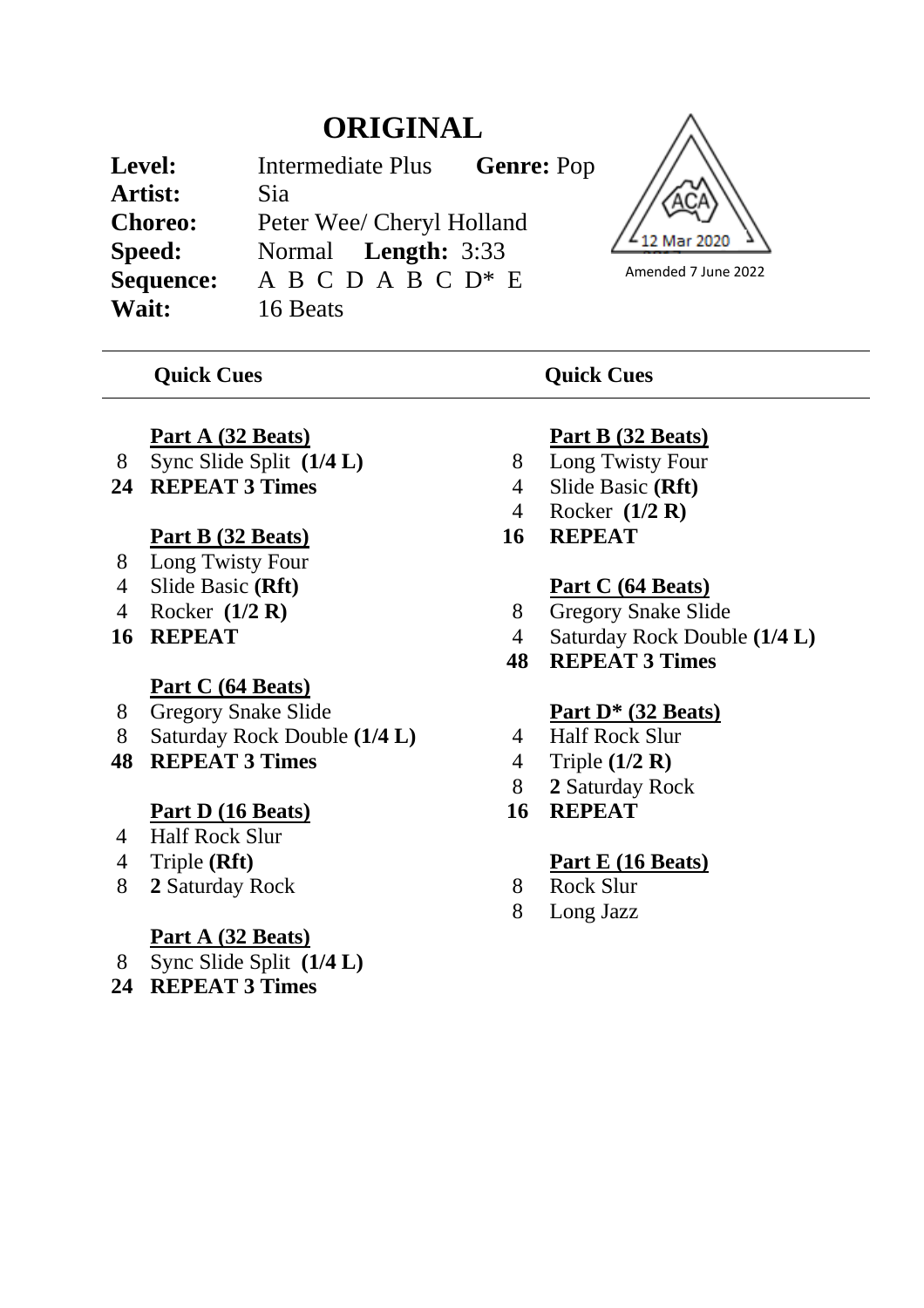# **ORIGINAL**

| Level:         | Intermediate Plus          | <b>Genre: Pop</b> |
|----------------|----------------------------|-------------------|
| Artist:        | Sia                        |                   |
| <b>Choreo:</b> | Peter Wee/ Cheryl Holland  |                   |
| Speed:         | Normal <b>Length:</b> 3:33 |                   |
| Sequence:      | $A B C D A B C D^* E$      |                   |
| Wait:          | 16 Beats                   |                   |

# 12 Mar 2020 Amended 7 June 2022

#### *Quick Cues* Quick Cues

#### **Part A (32 Beats)**

- 8 Sync Slide Split **(1/4 L)**
- **24 REPEAT 3 Times**

### **Part B (32 Beats)**

- 8 Long Twisty Four
- 4 Slide Basic **(Rft)**
- 4 Rocker **(1/2 R)**
- **16 REPEAT**

#### **Part C (64 Beats)**

- 8 Gregory Snake Slide
- 8 Saturday Rock Double **(1/4 L)**
- **48 REPEAT 3 Times**

# **Part D (16 Beats)**

- 4 Half Rock Slur
- 4 Triple **(Rft)**
- 8 **2** Saturday Rock

#### **Part A (32 Beats)**

- 8 Sync Slide Split **(1/4 L)**
- **24 REPEAT 3 Times**

# **Part B (32 Beats)**

- 8 Long Twisty Four
- 4 Slide Basic **(Rft)**
- 4 Rocker **(1/2 R)**
- **16 REPEAT**

# **Part C (64 Beats)**

- 8 Gregory Snake Slide
- 4 Saturday Rock Double **(1/4 L)**
- **48 REPEAT 3 Times**

# **Part D\* (32 Beats)**

- 4 Half Rock Slur
- 4 Triple **(1/2 R)**
- 8 **2** Saturday Rock
- **16 REPEAT**

# **Part E (16 Beats)**

- 8 Rock Slur
- 8 Long Jazz